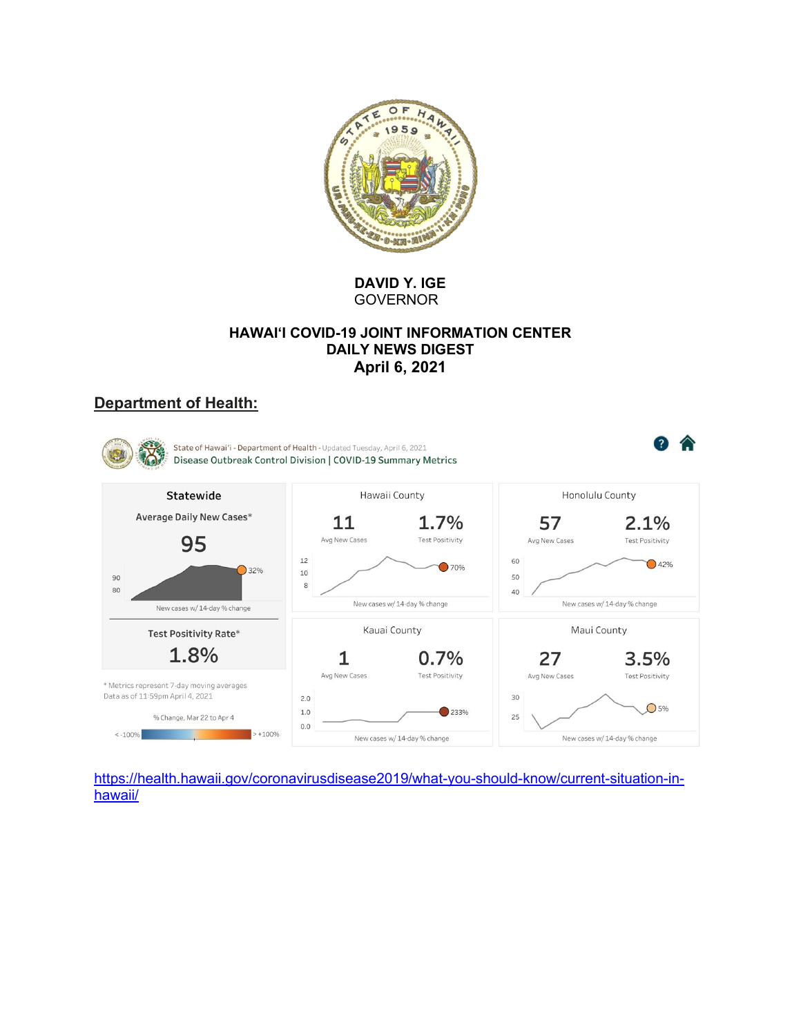

**DAVID Y. IGE** GOVERNOR

## **HAWAI'I COVID-19 JOINT INFORMATION CENTER DAILY NEWS DIGEST April 6, 2021**

# **Department of Health:**



https://health.hawaii.gov/coronavirusdisease2019/what-you-should-know/current-situation-inhawaii/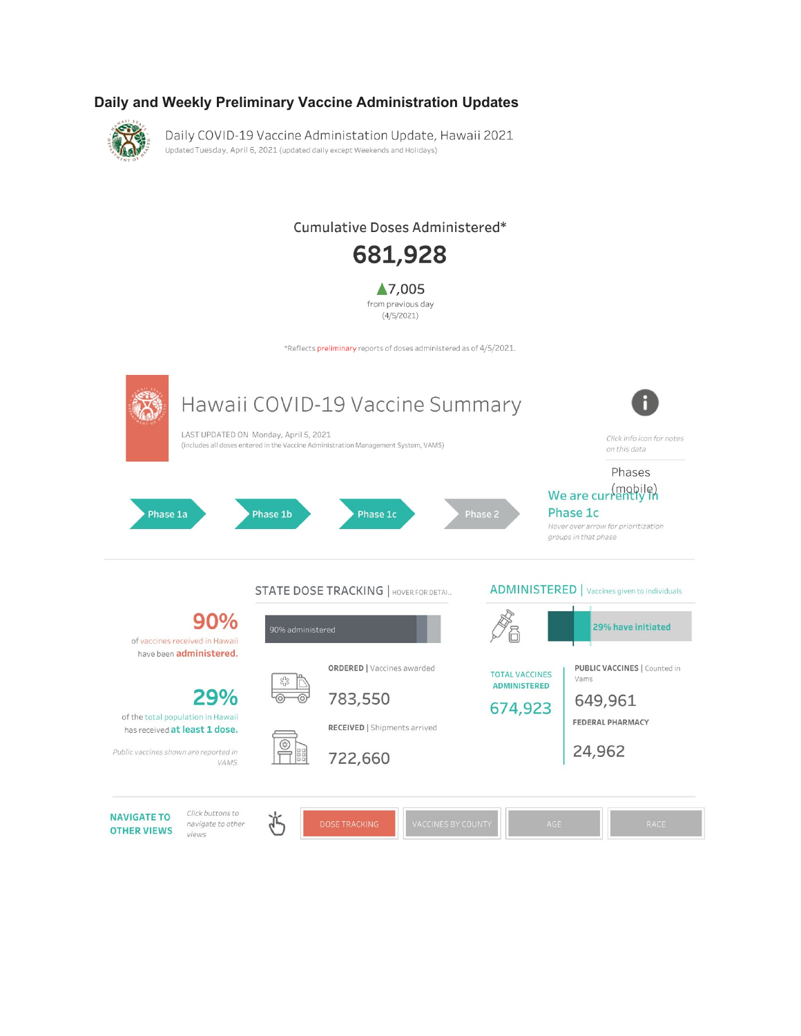## Daily and Weekly Preliminary Vaccine Administration Updates



Daily COVID-19 Vaccine Administation Update, Hawaii 2021 Updated Tuesday, April 6, 2021 (updated daily except Weekends and Holidays)

# Cumulative Doses Administered\*



▲7,005 from previous day  $(4/5/2021)$ 

\*Reflects preliminary reports of doses administered as of 4/5/2021.

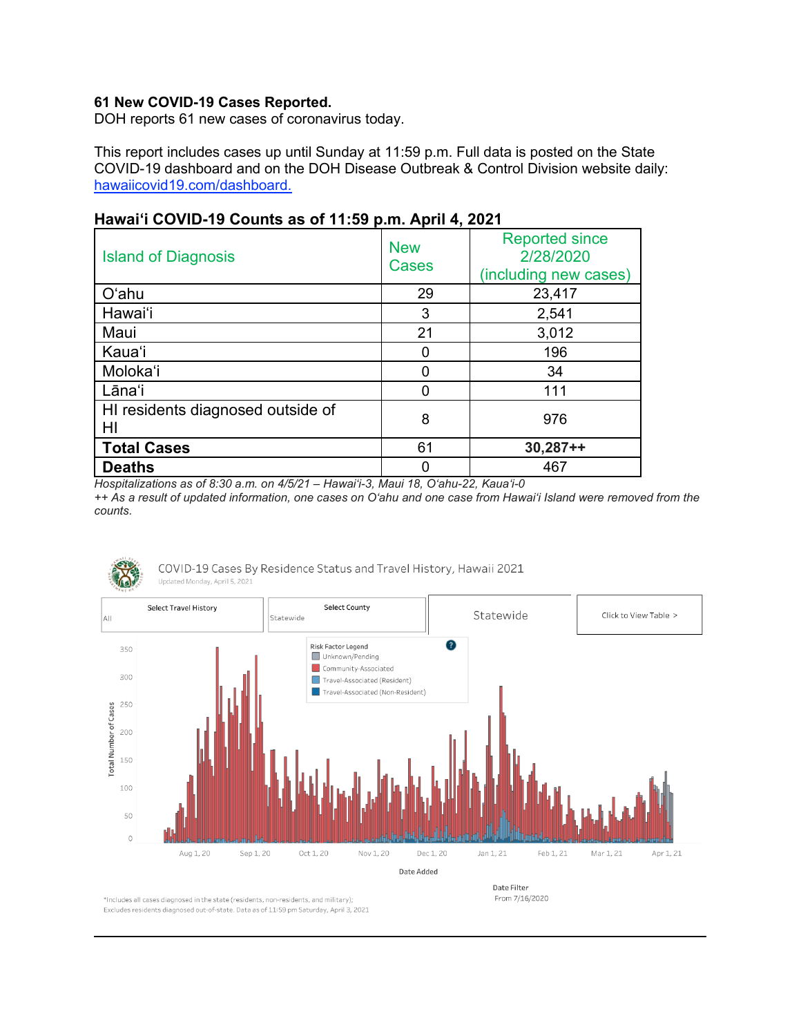## **61 New COVID-19 Cases Reported.**

DOH reports 61 new cases of coronavirus today.

This report includes cases up until Sunday at 11:59 p.m. Full data is posted on the State COVID-19 dashboard and on the DOH Disease Outbreak & Control Division website daily: hawaiicovid19.com/dashboard.

| <b>Island of Diagnosis</b>              | <b>New</b><br><b>Cases</b> | <b>Reported since</b><br>2/28/2020<br>(including new cases) |
|-----------------------------------------|----------------------------|-------------------------------------------------------------|
| O'ahu                                   | 29                         | 23,417                                                      |
| Hawai'i                                 | 3                          | 2,541                                                       |
| Maui                                    | 21                         | 3,012                                                       |
| Kaua'i                                  |                            | 196                                                         |
| Moloka'i                                |                            | 34                                                          |
| Lāna'i                                  | ∩                          | 111                                                         |
| HI residents diagnosed outside of<br>HI | 8                          | 976                                                         |
| <b>Total Cases</b>                      | 61                         | $30,287++$                                                  |
| <b>Deaths</b>                           |                            | 467                                                         |

# **Hawai'i COVID-19 Counts as of 11:59 p.m. April 4, 2021**

*Hospitalizations as of 8:30 a.m. on 4/5/21 – Hawai'i-3, Maui 18, O'ahu-22, Kauaʻi-0 ++ As a result of updated information, one cases on Oʻahu and one case from Hawai'i Island were removed from the* 

COVID-19 Cases By Residence Status and Travel History, Hawaii 2021

*counts.* 



\*Includes all cases diagnosed in the state (residents, non-residents, and military);

Excludes residents diagnosed out-of-state. Data as of 11:59 pm Saturday, April 3, 2021

Date Filter From 7/16/2020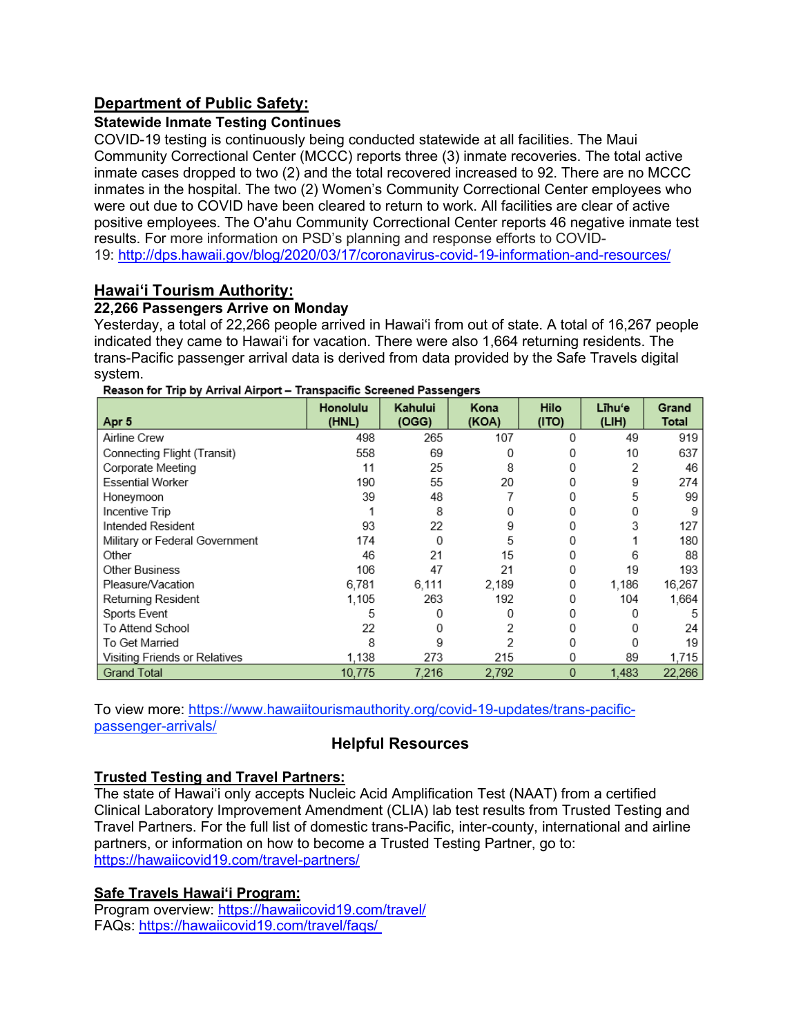# **Department of Public Safety:**

## **Statewide Inmate Testing Continues**

COVID-19 testing is continuously being conducted statewide at all facilities. The Maui Community Correctional Center (MCCC) reports three (3) inmate recoveries. The total active inmate cases dropped to two (2) and the total recovered increased to 92. There are no MCCC inmates in the hospital. The two (2) Women's Community Correctional Center employees who were out due to COVID have been cleared to return to work. All facilities are clear of active positive employees. The O'ahu Community Correctional Center reports 46 negative inmate test results. For more information on PSD's planning and response efforts to COVID-19: <http://dps.hawaii.gov/blog/2020/03/17/coronavirus-covid-19-information-and-resources/>

## **Hawaiʻi Tourism Authority:**

## **22,266 Passengers Arrive on Monday**

Yesterday, a total of 22,266 people arrived in Hawai'i from out of state. A total of 16,267 people indicated they came to Hawai'i for vacation. There were also 1,664 returning residents. The trans-Pacific passenger arrival data is derived from data provided by the Safe Travels digital system.

| Apr 5                          | Honolulu<br>(HNL) | Kahului<br>(OGG) | Kona<br>(KOA) | Hilo<br>(1TO) | Līhu'e<br>(LIH) | Grand<br>Total |
|--------------------------------|-------------------|------------------|---------------|---------------|-----------------|----------------|
| Airline Crew                   | 498               | 265              | 107           | 0             | 49              | 919            |
| Connecting Flight (Transit)    | 558               | 69               | U             | Ω             | 10              | 637            |
| Corporate Meeting              | 11                | 25               | 8             |               | 2               | 46             |
| <b>Essential Worker</b>        | 190               | 55               | 20            | Ω             | 9               | 274            |
| Honeymoon                      | 39                | 48               |               | Ω             | 5               | 99             |
| Incentive Trip                 |                   | 8                |               | Ω             | 0               | 9              |
| Intended Resident              | 93                | 22               | 9             |               | 3               | 127            |
| Military or Federal Government | 174               | 0                | 5             |               |                 | 180            |
| Other                          | 46                | 21               | 15            |               | 6               | 88             |
| <b>Other Business</b>          | 106               | 47               | 21            | Ω             | 19              | 193            |
| Pleasure/Vacation              | 6.781             | 6,111            | 2,189         | 0             | 1,186           | 16,267         |
| Returning Resident             | 1.105             | 263              | 192           | Ω             | 104             | 1,664          |
| Sports Event                   | 5                 | 0                | Ω             | Ω             |                 |                |
| To Attend School               | 22                | 0                | 2             | Ω             | 0               | 24             |
| To Get Married                 | 8                 | 9                | 2             | Ω             | 0               | 19             |
| Visiting Friends or Relatives  | 1.138             | 273              | 215           | 0             | 89              | 1.715          |
| <b>Grand Total</b>             | 10.775            | 7.216            | 2,792         | $\Omega$      | 1.483           | 22,266         |

Reason for Trip by Arrival Airport - Transpacific Screened Passengers

To view more: [https://www.hawaiitourismauthority.org/covid-19-updates/trans-pacific](https://www.hawaiitourismauthority.org/covid-19-updates/trans-pacific-passenger-arrivals/)[passenger-arrivals/](https://www.hawaiitourismauthority.org/covid-19-updates/trans-pacific-passenger-arrivals/)

# **Helpful Resources**

# **Trusted Testing and Travel Partners:**

The state of Hawai'i only accepts Nucleic Acid Amplification Test (NAAT) from a certified Clinical Laboratory Improvement Amendment (CLIA) lab test results from Trusted Testing and Travel Partners. For the full list of domestic trans-Pacific, inter-county, international and airline partners, or information on how to become a Trusted Testing Partner, go to: <https://hawaiicovid19.com/travel-partners/>

## **Safe Travels Hawai'i Program:**

Program overview: <https://hawaiicovid19.com/travel/> FAQs: <https://hawaiicovid19.com/travel/faqs/>